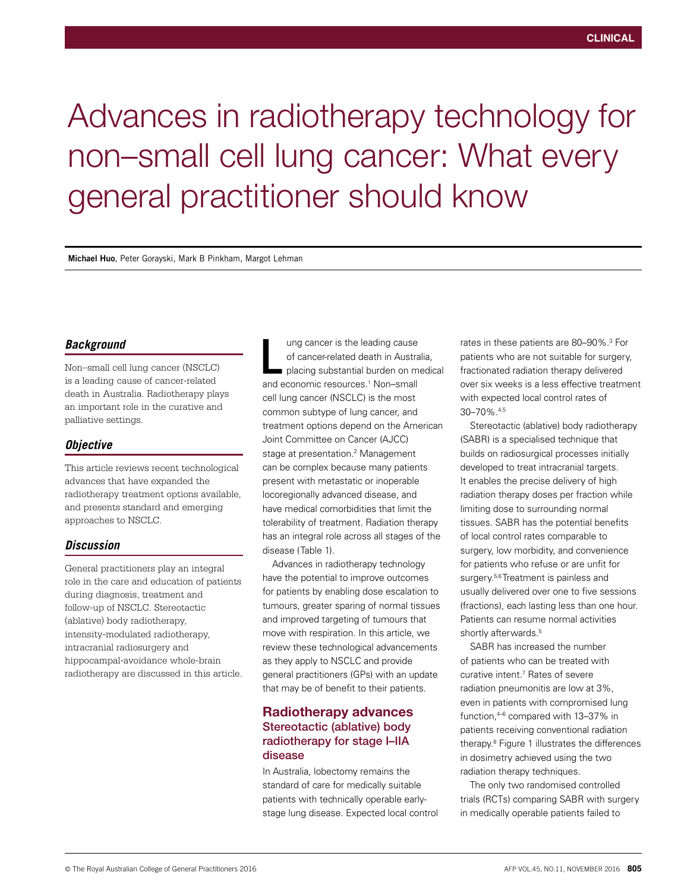# Advances in radiotherapy technology for non–small cell lung cancer: What every general practitioner should know

**Michael Huo**, Peter Gorayski, Mark B Pinkham, Margot Lehman

#### *Background*

Non–small cell lung cancer (NSCLC) is a leading cause of cancer-related death in Australia. Radiotherapy plays an important role in the curative and palliative settings.

#### *Objective*

This article reviews recent technological advances that have expanded the radiotherapy treatment options available, and presents standard and emerging approaches to NSCLC.

### *Discussion*

General practitioners play an integral role in the care and education of patients during diagnosis, treatment and follow-up of NSCLC. Stereotactic (ablative) body radiotherapy, intensity-modulated radiotherapy, intracranial radiosurgery and hippocampal-avoidance whole-brain radiotherapy are discussed in this article.

ung cancer is the leading cause of cancer-related death in Australia, placing substantial burden on medical ung cancer is the leading cause<br>of cancer-related death in Austra<br>placing substantial burden on m<br>and economic resources.<sup>1</sup> Non–small cell lung cancer (NSCLC) is the most common subtype of lung cancer, and treatment options depend on the American Joint Committee on Cancer (AJCC) stage at presentation.<sup>2</sup> Management can be complex because many patients present with metastatic or inoperable locoregionally advanced disease, and have medical comorbidities that limit the tolerability of treatment. Radiation therapy has an integral role across all stages of the disease (Table 1).

Advances in radiotherapy technology have the potential to improve outcomes for patients by enabling dose escalation to tumours, greater sparing of normal tissues and improved targeting of tumours that move with respiration. In this article, we review these technological advancements as they apply to NSCLC and provide general practitioners (GPs) with an update that may be of benefit to their patients.

# Radiotherapy advances Stereotactic (ablative) body radiotherapy for stage I–IIA disease

In Australia, lobectomy remains the standard of care for medically suitable patients with technically operable earlystage lung disease. Expected local control

rates in these patients are 80–90%.3 For patients who are not suitable for surgery, fractionated radiation therapy delivered over six weeks is a less effective treatment with expected local control rates of 30–70%.4,5

Stereotactic (ablative) body radiotherapy (SABR) is a specialised technique that builds on radiosurgical processes initially developed to treat intracranial targets. It enables the precise delivery of high radiation therapy doses per fraction while limiting dose to surrounding normal tissues. SABR has the potential benefits of local control rates comparable to surgery, low morbidity, and convenience for patients who refuse or are unfit for surgery.<sup>5,6</sup> Treatment is painless and usually delivered over one to five sessions (fractions), each lasting less than one hour. Patients can resume normal activities shortly afterwards.<sup>5</sup>

SABR has increased the number of patients who can be treated with curative intent.7 Rates of severe radiation pneumonitis are low at 3%, even in patients with compromised lung function,4–6 compared with 13–37% in patients receiving conventional radiation therapy.8 Figure 1 illustrates the differences in dosimetry achieved using the two radiation therapy techniques.

The only two randomised controlled trials (RCTs) comparing SABR with surgery in medically operable patients failed to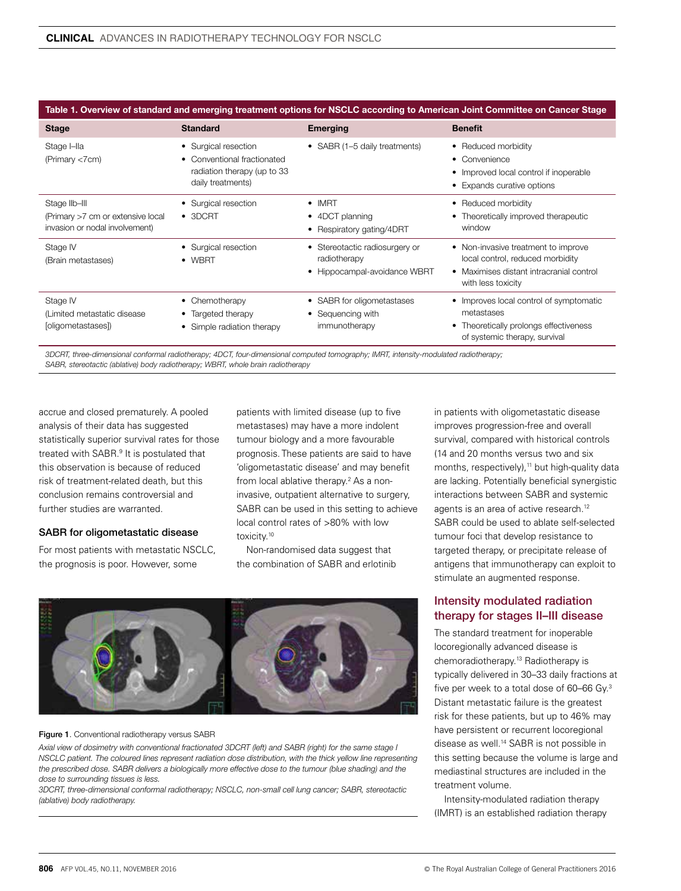#### Table 1. Overview of standard and emerging treatment options for NSCLC according to American Joint Committee on Cancer Stage

| <b>Stage</b>                                                                         | <b>Standard</b>                                                                                         | <b>Emerging</b>                                                                | <b>Benefit</b>                                                                                                                            |
|--------------------------------------------------------------------------------------|---------------------------------------------------------------------------------------------------------|--------------------------------------------------------------------------------|-------------------------------------------------------------------------------------------------------------------------------------------|
| Stage I-lla<br>(Primary <7cm)                                                        | • Surgical resection<br>• Conventional fractionated<br>radiation therapy (up to 33<br>daily treatments) | • SABR (1-5 daily treatments)                                                  | • Reduced morbidity<br>$\bullet$ Convenience<br>• Improved local control if inoperable<br>• Expands curative options                      |
| Stage IIb-III<br>(Primary >7 cm or extensive local<br>invasion or nodal involvement) | • Surgical resection<br>$\bullet$ 3DCRT                                                                 | $\bullet$ IMRT<br>• 4DCT planning<br>• Respiratory gating/4DRT                 | • Reduced morbidity<br>• Theoretically improved therapeutic<br>window                                                                     |
| Stage IV<br>(Brain metastases)                                                       | • Surgical resection<br>$\bullet$ WBRT                                                                  | • Stereotactic radiosurgery or<br>radiotherapy<br>• Hippocampal-avoidance WBRT | • Non-invasive treatment to improve<br>local control, reduced morbidity<br>• Maximises distant intracranial control<br>with less toxicity |
| Stage IV<br>(Limited metastatic disease)<br>[oligometastases])                       | • Chemotherapy<br>• Targeted therapy<br>• Simple radiation therapy                                      | • SABR for oligometastases<br>• Sequencing with<br>immunotherapy               | • Improves local control of symptomatic<br>metastases<br>• Theoretically prolongs effectiveness<br>of systemic therapy, survival          |

*3DCRT, three-dimensional conformal radiotherapy; 4DCT, four-dimensional computed tomography; IMRT, intensity-modulated radiotherapy; SABR, stereotactic (ablative) body radiotherapy; WBRT, whole brain radiotherapy*

accrue and closed prematurely. A pooled analysis of their data has suggested statistically superior survival rates for those treated with SABR.<sup>9</sup> It is postulated that this observation is because of reduced risk of treatment-related death, but this conclusion remains controversial and further studies are warranted.

#### SABR for oligometastatic disease

For most patients with metastatic NSCLC, the prognosis is poor. However, some

patients with limited disease (up to five metastases) may have a more indolent tumour biology and a more favourable prognosis. These patients are said to have 'oligometastatic disease' and may benefit from local ablative therapy.<sup>2</sup> As a noninvasive, outpatient alternative to surgery, SABR can be used in this setting to achieve local control rates of >80% with low toxicity.10

Non-randomised data suggest that the combination of SABR and erlotinib



#### Figure 1. Conventional radiotherapy versus SABR

*Axial view of dosimetry with conventional fractionated 3DCRT (left) and SABR (right) for the same stage I NSCLC patient. The coloured lines represent radiation dose distribution, with the thick yellow line representing the prescribed dose. SABR delivers a biologically more effective dose to the tumour (blue shading) and the dose to surrounding tissues is less.*

*3DCRT, three-dimensional conformal radiotherapy; NSCLC, non-small cell lung cancer; SABR, stereotactic (ablative) body radiotherapy.*

in patients with oligometastatic disease improves progression-free and overall survival, compared with historical controls (14 and 20 months versus two and six months, respectively),<sup>11</sup> but high-quality data are lacking. Potentially beneficial synergistic interactions between SABR and systemic agents is an area of active research.<sup>12</sup> SABR could be used to ablate self-selected tumour foci that develop resistance to targeted therapy, or precipitate release of antigens that immunotherapy can exploit to stimulate an augmented response.

### Intensity modulated radiation therapy for stages II–III disease

The standard treatment for inoperable locoregionally advanced disease is chemoradiotherapy.13 Radiotherapy is typically delivered in 30–33 daily fractions at five per week to a total dose of 60–66 Gy.3 Distant metastatic failure is the greatest risk for these patients, but up to 46% may have persistent or recurrent locoregional disease as well.14 SABR is not possible in this setting because the volume is large and mediastinal structures are included in the treatment volume.

Intensity-modulated radiation therapy (IMRT) is an established radiation therapy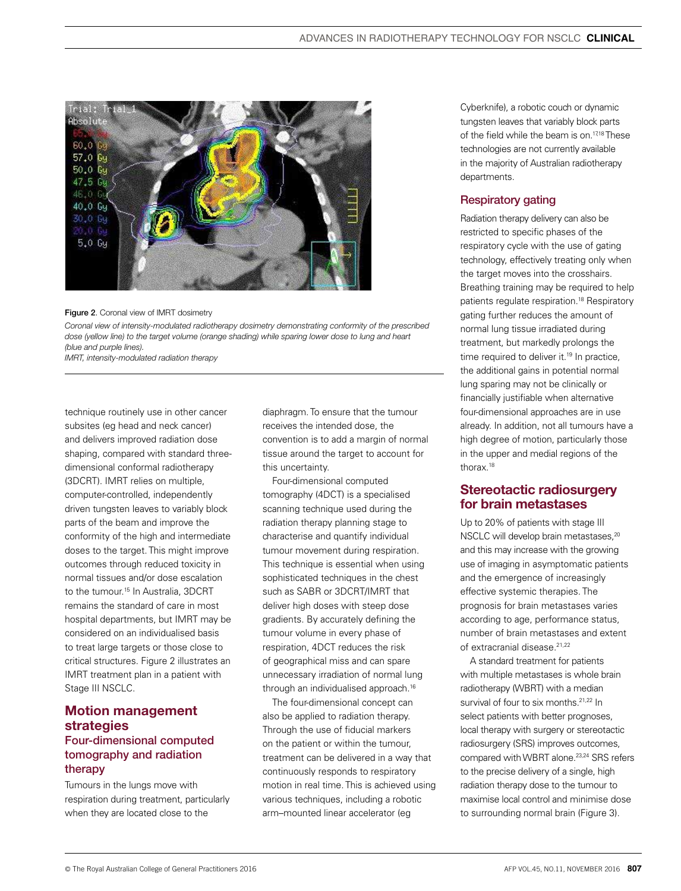



*Coronal view of intensity-modulated radiotherapy dosimetry demonstrating conformity of the prescribed dose (yellow line) to the target volume (orange shading) while sparing lower dose to lung and heart (blue and purple lines).*

*IMRT, intensity-modulated radiation therapy*

technique routinely use in other cancer subsites (eg head and neck cancer) and delivers improved radiation dose shaping, compared with standard threedimensional conformal radiotherapy (3DCRT). IMRT relies on multiple, computer-controlled, independently driven tungsten leaves to variably block parts of the beam and improve the conformity of the high and intermediate doses to the target. This might improve outcomes through reduced toxicity in normal tissues and/or dose escalation to the tumour.<sup>15</sup> In Australia, 3DCRT remains the standard of care in most hospital departments, but IMRT may be considered on an individualised basis to treat large targets or those close to critical structures. Figure 2 illustrates an IMRT treatment plan in a patient with Stage III NSCLC.

# Motion management strategies

## Four-dimensional computed tomography and radiation therapy

Tumours in the lungs move with respiration during treatment, particularly when they are located close to the

diaphragm. To ensure that the tumour receives the intended dose, the convention is to add a margin of normal tissue around the target to account for this uncertainty.

Four-dimensional computed tomography (4DCT) is a specialised scanning technique used during the radiation therapy planning stage to characterise and quantify individual tumour movement during respiration. This technique is essential when using sophisticated techniques in the chest such as SABR or 3DCRT/IMRT that deliver high doses with steep dose gradients. By accurately defining the tumour volume in every phase of respiration, 4DCT reduces the risk of geographical miss and can spare unnecessary irradiation of normal lung through an individualised approach.<sup>16</sup>

The four-dimensional concept can also be applied to radiation therapy. Through the use of fiducial markers on the patient or within the tumour, treatment can be delivered in a way that continuously responds to respiratory motion in real time. This is achieved using various techniques, including a robotic arm–mounted linear accelerator (eg

Cyberknife), a robotic couch or dynamic tungsten leaves that variably block parts of the field while the beam is on.<sup>17,18</sup> These technologies are not currently available in the majority of Australian radiotherapy departments.

#### Respiratory gating

Radiation therapy delivery can also be restricted to specific phases of the respiratory cycle with the use of gating technology, effectively treating only when the target moves into the crosshairs. Breathing training may be required to help patients regulate respiration.18 Respiratory gating further reduces the amount of normal lung tissue irradiated during treatment, but markedly prolongs the time required to deliver it.<sup>19</sup> In practice, the additional gains in potential normal lung sparing may not be clinically or financially justifiable when alternative four-dimensional approaches are in use already. In addition, not all tumours have a high degree of motion, particularly those in the upper and medial regions of the thorax.18

## Stereotactic radiosurgery for brain metastases

Up to 20% of patients with stage III NSCLC will develop brain metastases,<sup>20</sup> and this may increase with the growing use of imaging in asymptomatic patients and the emergence of increasingly effective systemic therapies. The prognosis for brain metastases varies according to age, performance status, number of brain metastases and extent of extracranial disease.<sup>21,22</sup>

A standard treatment for patients with multiple metastases is whole brain radiotherapy (WBRT) with a median survival of four to six months.<sup>21,22</sup> In select patients with better prognoses, local therapy with surgery or stereotactic radiosurgery (SRS) improves outcomes, compared with WBRT alone.<sup>23,24</sup> SRS refers to the precise delivery of a single, high radiation therapy dose to the tumour to maximise local control and minimise dose to surrounding normal brain (Figure 3).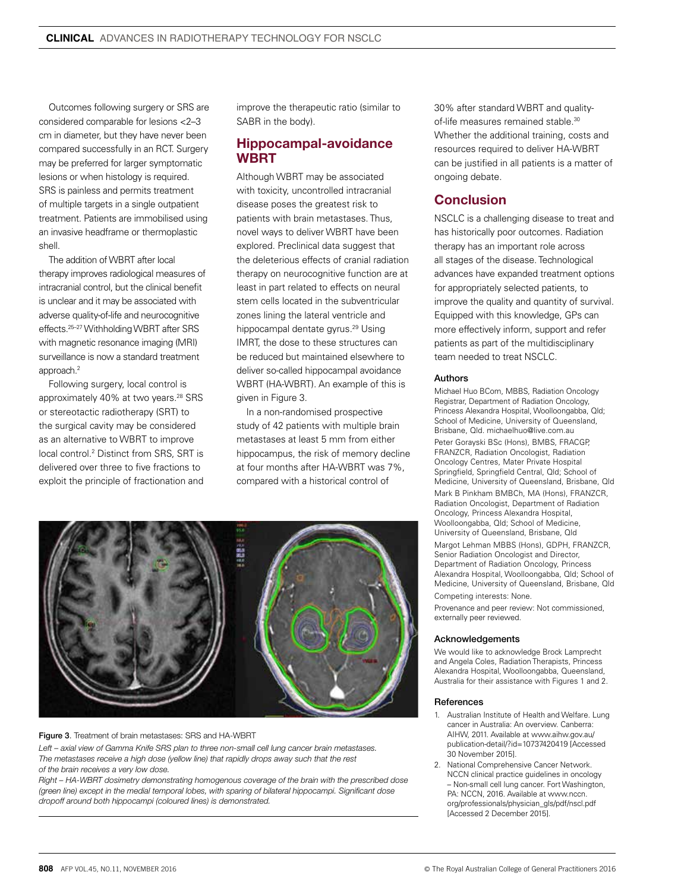Outcomes following surgery or SRS are considered comparable for lesions <2–3 cm in diameter, but they have never been compared successfully in an RCT. Surgery may be preferred for larger symptomatic lesions or when histology is required. SRS is painless and permits treatment of multiple targets in a single outpatient treatment. Patients are immobilised using an invasive headframe or thermoplastic shell.

The addition of WBRT after local therapy improves radiological measures of intracranial control, but the clinical benefit is unclear and it may be associated with adverse quality-of-life and neurocognitive effects.25–27 Withholding WBRT after SRS with magnetic resonance imaging (MRI) surveillance is now a standard treatment approach.2

Following surgery, local control is approximately 40% at two years.<sup>28</sup> SRS or stereotactic radiotherapy (SRT) to the surgical cavity may be considered as an alternative to WBRT to improve local control.<sup>2</sup> Distinct from SRS, SRT is delivered over three to five fractions to exploit the principle of fractionation and improve the therapeutic ratio (similar to SABR in the body).

## Hippocampal-avoidance **WRRT**

Although WBRT may be associated with toxicity, uncontrolled intracranial disease poses the greatest risk to patients with brain metastases. Thus, novel ways to deliver WBRT have been explored. Preclinical data suggest that the deleterious effects of cranial radiation therapy on neurocognitive function are at least in part related to effects on neural stem cells located in the subventricular zones lining the lateral ventricle and hippocampal dentate gyrus.<sup>29</sup> Using IMRT, the dose to these structures can be reduced but maintained elsewhere to deliver so-called hippocampal avoidance WBRT (HA-WBRT). An example of this is given in Figure 3.

In a non-randomised prospective study of 42 patients with multiple brain metastases at least 5 mm from either hippocampus, the risk of memory decline at four months after HA-WBRT was 7%, compared with a historical control of



#### Figure 3. Treatment of brain metastases: SRS and HA-WBRT

Left – axial view of Gamma Knife SRS plan to three non-small cell lung cancer brain metastases. *The metastases receive a high dose (yellow line) that rapidly drops away such that the rest of the brain receives a very low dose.* 

*Right – HA-WBRT dosimetry demonstrating homogenous coverage of the brain with the prescribed dose (green line) except in the medial temporal lobes, with sparing of bilateral hippocampi. Significant dose dropoff around both hippocampi (coloured lines) is demonstrated.*

30% after standard WBRT and qualityof-life measures remained stable.<sup>30</sup> Whether the additional training, costs and resources required to deliver HA-WBRT can be justified in all patients is a matter of ongoing debate.

# Conclusion

NSCLC is a challenging disease to treat and has historically poor outcomes. Radiation therapy has an important role across all stages of the disease. Technological advances have expanded treatment options for appropriately selected patients, to improve the quality and quantity of survival. Equipped with this knowledge, GPs can more effectively inform, support and refer patients as part of the multidisciplinary team needed to treat NSCLC.

#### Authors

Michael Huo BCom, MBBS, Radiation Oncology Registrar, Department of Radiation Oncology, Princess Alexandra Hospital, Woolloongabba, Qld; School of Medicine, University of Queensland, Brisbane, Qld. michaelhuo@live.com.au Peter Gorayski BSc (Hons), BMBS, FRACGP, FRANZCR, Radiation Oncologist, Radiation Oncology Centres, Mater Private Hospital Springfield, Springfield Central, Qld; School of Medicine, University of Queensland, Brisbane, Qld

Mark B Pinkham BMBCh, MA (Hons), FRANZCR, Radiation Oncologist, Department of Radiation Oncology, Princess Alexandra Hospital, Woolloongabba, Qld; School of Medicine, University of Queensland, Brisbane, Qld

Margot Lehman MBBS (Hons), GDPH, FRANZCR, Senior Radiation Oncologist and Director, Department of Radiation Oncology, Princess Alexandra Hospital, Woolloongabba, Qld; School of Medicine, University of Queensland, Brisbane, Qld Competing interests: None.

Provenance and peer review: Not commissioned, externally peer reviewed.

#### Acknowledgements

We would like to acknowledge Brock Lamprecht and Angela Coles, Radiation Therapists, Princess Alexandra Hospital, Woolloongabba, Queensland, Australia for their assistance with Figures 1 and 2.

#### References

- 1. Australian Institute of Health and Welfare. Lung cancer in Australia: An overview. Canberra: AIHW, 2011. Available at www.aihw.gov.au/ publication-detail/?id=10737420419 [Accessed 30 November 2015].
- 2. National Comprehensive Cancer Network. NCCN clinical practice guidelines in oncology – Non-small cell lung cancer. Fort Washington, PA: NCCN, 2016. Available at www.nccn. org/professionals/physician\_gls/pdf/nscl.pdf [Accessed 2 December 2015].